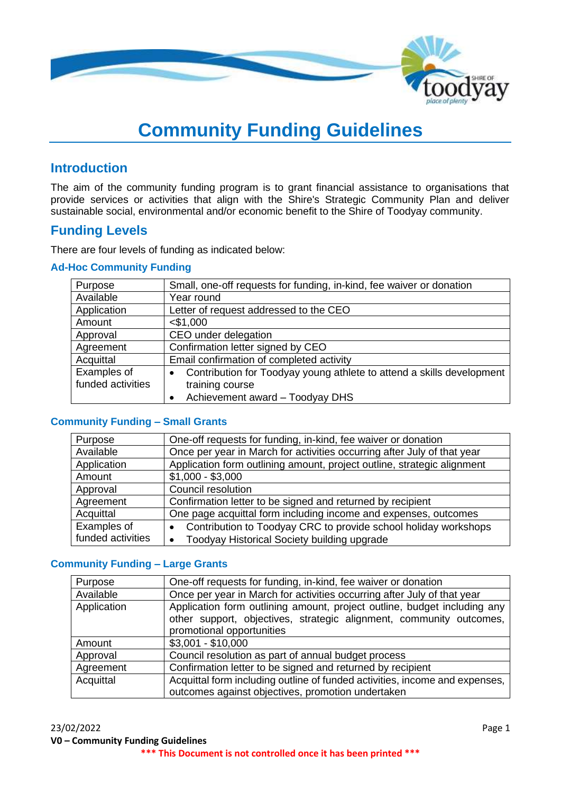

# **Community Funding Guidelines**

# **Introduction**

The aim of the community funding program is to grant financial assistance to organisations that provide services or activities that align with the Shire's Strategic Community Plan and deliver sustainable social, environmental and/or economic benefit to the Shire of Toodyay community.

# **Funding Levels**

There are four levels of funding as indicated below:

#### **Ad-Hoc Community Funding**

| Purpose           | Small, one-off requests for funding, in-kind, fee waiver or donation               |
|-------------------|------------------------------------------------------------------------------------|
| Available         | Year round                                                                         |
| Application       | Letter of request addressed to the CEO                                             |
| Amount            | $<$ \$1,000                                                                        |
| Approval          | CEO under delegation                                                               |
| Agreement         | Confirmation letter signed by CEO                                                  |
| Acquittal         | Email confirmation of completed activity                                           |
| Examples of       | Contribution for Toodyay young athlete to attend a skills development<br>$\bullet$ |
| funded activities | training course                                                                    |
|                   | Achievement award - Toodyay DHS                                                    |

### **Community Funding – Small Grants**

| Purpose           | One-off requests for funding, in-kind, fee waiver or donation           |
|-------------------|-------------------------------------------------------------------------|
| Available         | Once per year in March for activities occurring after July of that year |
| Application       | Application form outlining amount, project outline, strategic alignment |
| Amount            | $$1,000 - $3,000$                                                       |
| Approval          | Council resolution                                                      |
| Agreement         | Confirmation letter to be signed and returned by recipient              |
| Acquittal         | One page acquittal form including income and expenses, outcomes         |
| Examples of       | Contribution to Toodyay CRC to provide school holiday workshops         |
| funded activities | Toodyay Historical Society building upgrade                             |

#### **Community Funding – Large Grants**

| Purpose     | One-off requests for funding, in-kind, fee waiver or donation               |
|-------------|-----------------------------------------------------------------------------|
| Available   | Once per year in March for activities occurring after July of that year     |
| Application | Application form outlining amount, project outline, budget including any    |
|             | other support, objectives, strategic alignment, community outcomes,         |
|             | promotional opportunities                                                   |
| Amount      | $$3,001 - $10,000$                                                          |
| Approval    | Council resolution as part of annual budget process                         |
| Agreement   | Confirmation letter to be signed and returned by recipient                  |
| Acquittal   | Acquittal form including outline of funded activities, income and expenses, |
|             | outcomes against objectives, promotion undertaken                           |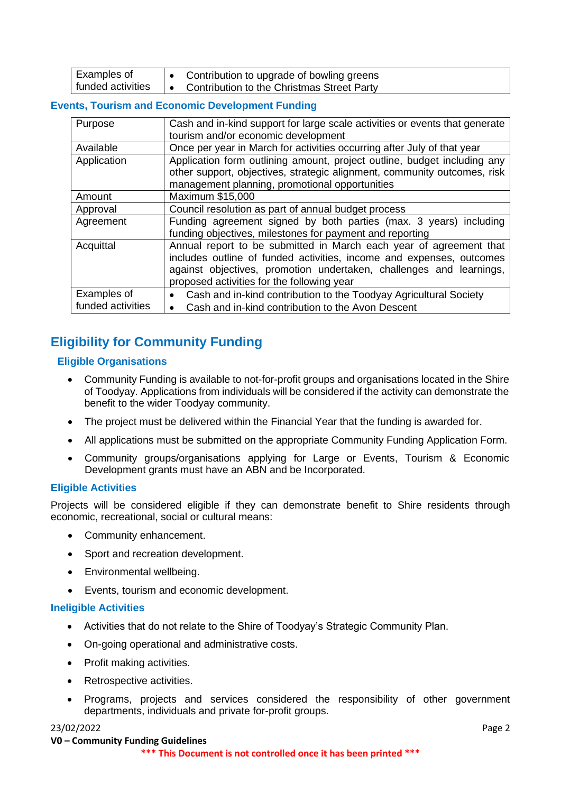| Examples of       | Contribution to upgrade of bowling greens         |
|-------------------|---------------------------------------------------|
| funded activities | <b>Contribution to the Christmas Street Party</b> |

#### **Events, Tourism and Economic Development Funding**

| Cash and in-kind support for large scale activities or events that generate<br>tourism and/or economic development                                                                                                                                              |
|-----------------------------------------------------------------------------------------------------------------------------------------------------------------------------------------------------------------------------------------------------------------|
| Once per year in March for activities occurring after July of that year                                                                                                                                                                                         |
| Application form outlining amount, project outline, budget including any                                                                                                                                                                                        |
| other support, objectives, strategic alignment, community outcomes, risk                                                                                                                                                                                        |
| management planning, promotional opportunities                                                                                                                                                                                                                  |
| Maximum \$15,000                                                                                                                                                                                                                                                |
| Council resolution as part of annual budget process                                                                                                                                                                                                             |
| Funding agreement signed by both parties (max. 3 years) including<br>funding objectives, milestones for payment and reporting                                                                                                                                   |
| Annual report to be submitted in March each year of agreement that<br>includes outline of funded activities, income and expenses, outcomes<br>against objectives, promotion undertaken, challenges and learnings,<br>proposed activities for the following year |
| Cash and in-kind contribution to the Toodyay Agricultural Society                                                                                                                                                                                               |
| Cash and in-kind contribution to the Avon Descent                                                                                                                                                                                                               |
|                                                                                                                                                                                                                                                                 |

# **Eligibility for Community Funding**

#### **Eligible Organisations**

- Community Funding is available to not-for-profit groups and organisations located in the Shire of Toodyay. Applications from individuals will be considered if the activity can demonstrate the benefit to the wider Toodyay community.
- The project must be delivered within the Financial Year that the funding is awarded for.
- All applications must be submitted on the appropriate Community Funding Application Form.
- Community groups/organisations applying for Large or Events, Tourism & Economic Development grants must have an ABN and be Incorporated.

#### **Eligible Activities**

Projects will be considered eligible if they can demonstrate benefit to Shire residents through economic, recreational, social or cultural means:

- Community enhancement.
- Sport and recreation development.
- Environmental wellbeing.
- Events, tourism and economic development.

#### **Ineligible Activities**

- Activities that do not relate to the Shire of Toodyay's Strategic Community Plan.
- On-going operational and administrative costs.
- Profit making activities.
- Retrospective activities.
- Programs, projects and services considered the responsibility of other government departments, individuals and private for-profit groups.

#### 23/02/2022 Page 2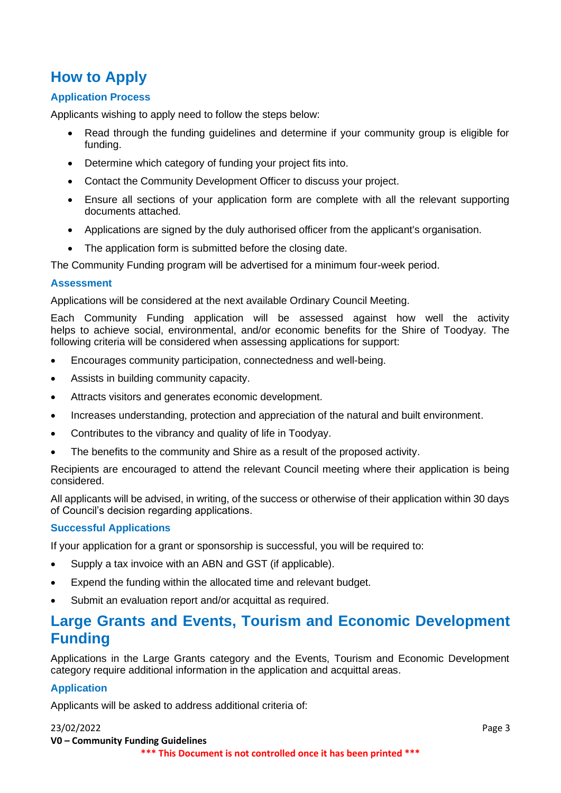# **How to Apply**

#### **Application Process**

Applicants wishing to apply need to follow the steps below:

- Read through the funding guidelines and determine if your community group is eligible for funding.
- Determine which category of funding your project fits into.
- Contact the Community Development Officer to discuss your project.
- Ensure all sections of your application form are complete with all the relevant supporting documents attached.
- Applications are signed by the duly authorised officer from the applicant's organisation.
- The application form is submitted before the closing date.

The Community Funding program will be advertised for a minimum four-week period.

#### **Assessment**

Applications will be considered at the next available Ordinary Council Meeting.

Each Community Funding application will be assessed against how well the activity helps to achieve social, environmental, and/or economic benefits for the Shire of Toodyay. The following criteria will be considered when assessing applications for support:

- Encourages community participation, connectedness and well-being.
- Assists in building community capacity.
- Attracts visitors and generates economic development.
- Increases understanding, protection and appreciation of the natural and built environment.
- Contributes to the vibrancy and quality of life in Toodyay.
- The benefits to the community and Shire as a result of the proposed activity.

Recipients are encouraged to attend the relevant Council meeting where their application is being considered.

All applicants will be advised, in writing, of the success or otherwise of their application within 30 days of Council's decision regarding applications.

#### **Successful Applications**

If your application for a grant or sponsorship is successful, you will be required to:

- Supply a tax invoice with an ABN and GST (if applicable).
- Expend the funding within the allocated time and relevant budget.
- Submit an evaluation report and/or acquittal as required.

# **Large Grants and Events, Tourism and Economic Development Funding**

Applications in the Large Grants category and the Events, Tourism and Economic Development category require additional information in the application and acquittal areas.

#### **Application**

Applicants will be asked to address additional criteria of: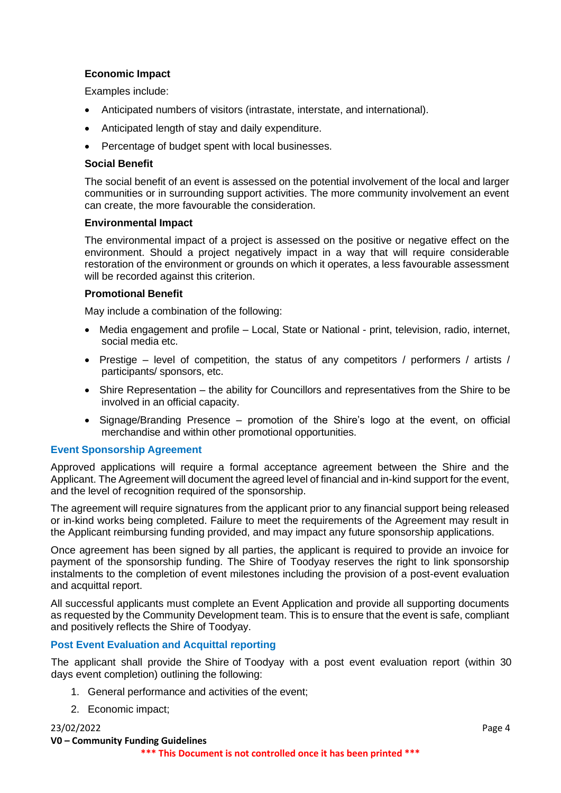#### **Economic Impact**

Examples include:

- Anticipated numbers of visitors (intrastate, interstate, and international).
- Anticipated length of stay and daily expenditure.
- Percentage of budget spent with local businesses.

#### **Social Benefit**

The social benefit of an event is assessed on the potential involvement of the local and larger communities or in surrounding support activities. The more community involvement an event can create, the more favourable the consideration.

#### **Environmental Impact**

The environmental impact of a project is assessed on the positive or negative effect on the environment. Should a project negatively impact in a way that will require considerable restoration of the environment or grounds on which it operates, a less favourable assessment will be recorded against this criterion.

#### **Promotional Benefit**

May include a combination of the following:

- Media engagement and profile Local, State or National print, television, radio, internet, social media etc.
- Prestige level of competition, the status of any competitors / performers / artists / participants/ sponsors, etc.
- Shire Representation the ability for Councillors and representatives from the Shire to be involved in an official capacity.
- Signage/Branding Presence promotion of the Shire's logo at the event, on official merchandise and within other promotional opportunities.

#### **Event Sponsorship Agreement**

Approved applications will require a formal acceptance agreement between the Shire and the Applicant. The Agreement will document the agreed level of financial and in-kind support for the event, and the level of recognition required of the sponsorship.

The agreement will require signatures from the applicant prior to any financial support being released or in-kind works being completed. Failure to meet the requirements of the Agreement may result in the Applicant reimbursing funding provided, and may impact any future sponsorship applications.

Once agreement has been signed by all parties, the applicant is required to provide an invoice for payment of the sponsorship funding. The Shire of Toodyay reserves the right to link sponsorship instalments to the completion of event milestones including the provision of a post-event evaluation and acquittal report.

All successful applicants must complete an Event Application and provide all supporting documents as requested by the Community Development team. This is to ensure that the event is safe, compliant and positively reflects the Shire of Toodyay.

#### **Post Event Evaluation and Acquittal reporting**

The applicant shall provide the Shire of Toodyay with a post event evaluation report (within 30 days event completion) outlining the following:

- 1. General performance and activities of the event;
- 2. Economic impact;

# 23/02/2022 Page 4

**V0 – Community Funding Guidelines**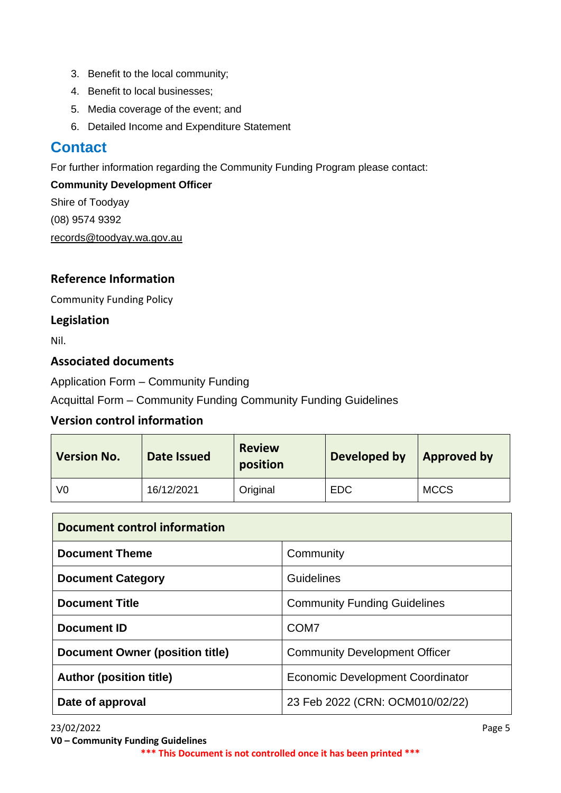- 3. Benefit to the local community;
- 4. Benefit to local businesses;
- 5. Media coverage of the event; and
- 6. Detailed Income and Expenditure Statement

# **Contact**

For further information regarding the Community Funding Program please contact:

## **Community Development Officer**

Shire of Toodyay (08) 9574 9392 [records@toodyay.wa.gov.au](mailto:records@toodyay.wa.gov.au)

# **Reference Information**

Community Funding Policy

# **Legislation**

Nil.

# **Associated documents**

Application Form – Community Funding

Acquittal Form – Community Funding Community Funding Guidelines

# **Version control information**

| <b>Version No.</b> | Date Issued | <b>Review</b><br>position | Developed by | Approved by |
|--------------------|-------------|---------------------------|--------------|-------------|
| V0                 | 16/12/2021  | Original                  | <b>EDC</b>   | <b>MCCS</b> |

| Document control information    |                                      |  |
|---------------------------------|--------------------------------------|--|
| <b>Document Theme</b>           | Community                            |  |
| <b>Document Category</b>        | Guidelines                           |  |
| <b>Document Title</b>           | <b>Community Funding Guidelines</b>  |  |
| <b>Document ID</b>              | COM <sub>7</sub>                     |  |
| Document Owner (position title) | <b>Community Development Officer</b> |  |
| <b>Author (position title)</b>  | Economic Development Coordinator     |  |
| Date of approval                | 23 Feb 2022 (CRN: OCM010/02/22)      |  |